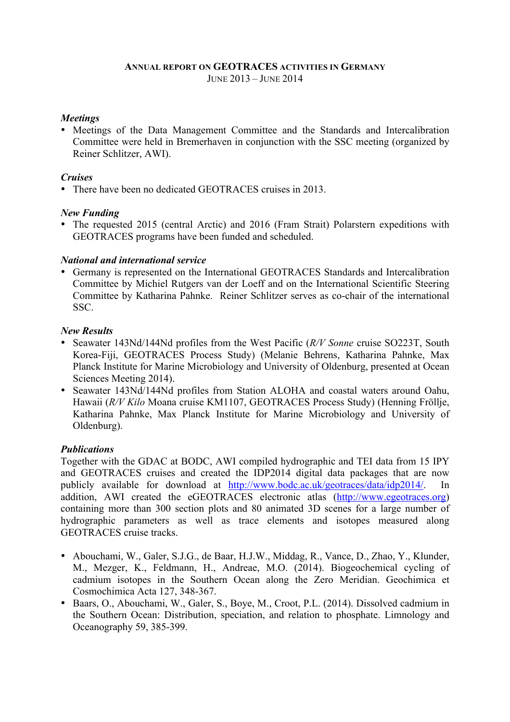#### **ANNUAL REPORT ON GEOTRACES ACTIVITIES IN GERMANY** JUNE 2013 – JUNE 2014

#### *Meetings*

• Meetings of the Data Management Committee and the Standards and Intercalibration Committee were held in Bremerhaven in conjunction with the SSC meeting (organized by Reiner Schlitzer, AWI).

### *Cruises*

• There have been no dedicated GEOTRACES cruises in 2013.

#### *New Funding*

• The requested 2015 (central Arctic) and 2016 (Fram Strait) Polarstern expeditions with GEOTRACES programs have been funded and scheduled.

#### *National and international service*

• Germany is represented on the International GEOTRACES Standards and Intercalibration Committee by Michiel Rutgers van der Loeff and on the International Scientific Steering Committee by Katharina Pahnke. Reiner Schlitzer serves as co-chair of the international SSC.

#### *New Results*

- Seawater 143Nd/144Nd profiles from the West Pacific (*R/V Sonne* cruise SO223T, South Korea-Fiji, GEOTRACES Process Study) (Melanie Behrens, Katharina Pahnke, Max Planck Institute for Marine Microbiology and University of Oldenburg, presented at Ocean Sciences Meeting 2014).
- Seawater 143Nd/144Nd profiles from Station ALOHA and coastal waters around Oahu, Hawaii (*R/V Kilo* Moana cruise KM1107, GEOTRACES Process Study) (Henning Fröllje, Katharina Pahnke, Max Planck Institute for Marine Microbiology and University of Oldenburg).

## *Publications*

Together with the GDAC at BODC, AWI compiled hydrographic and TEI data from 15 IPY and GEOTRACES cruises and created the IDP2014 digital data packages that are now publicly available for download at http://www.bodc.ac.uk/geotraces/data/idp2014/. In addition, AWI created the eGEOTRACES electronic atlas (http://www.egeotraces.org) containing more than 300 section plots and 80 animated 3D scenes for a large number of hydrographic parameters as well as trace elements and isotopes measured along GEOTRACES cruise tracks.

- Abouchami, W., Galer, S.J.G., de Baar, H.J.W., Middag, R., Vance, D., Zhao, Y., Klunder, M., Mezger, K., Feldmann, H., Andreae, M.O. (2014). Biogeochemical cycling of cadmium isotopes in the Southern Ocean along the Zero Meridian. Geochimica et Cosmochimica Acta 127, 348-367.
- Baars, O., Abouchami, W., Galer, S., Boye, M., Croot, P.L. (2014). Dissolved cadmium in the Southern Ocean: Distribution, speciation, and relation to phosphate. Limnology and Oceanography 59, 385-399.